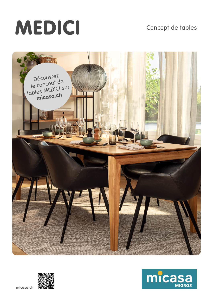# MEDICI

## Concept de tables





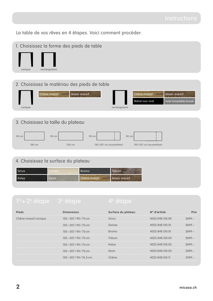La table de vos rêves en 4 étapes. Voici comment procéder:

- 1. Choisissez la forme des pieds de table conique rectangulaire
- 2. Choisissez le matériau des pieds de table

| Noyer massif<br>Chêne massif       |               | Chêne massif   | Noyer massif            |
|------------------------------------|---------------|----------------|-------------------------|
|                                    |               | Métal noir mat | Acier inoxydable brossé |
| conique                            | rectangulaire |                |                         |
|                                    |               |                |                         |
| 3. Choisissez la taille du plateau |               |                |                         |
| 90 cm<br>90 cm<br>90 cm            | 90 cm         |                |                         |

180 cm 220 cm 150–207 cm (ausziehbar) 190–247 cm (ausziehbar)

### 4. Choisissez la surface du plateau

| Sirius | anae | <b>Bromo</b> | Trilium      |
|--------|------|--------------|--------------|
| Kelya  | Keon | Chêne massif | Noyer massif |

**Pieds Dimensions Surface du plateau N° d'article Prix** Chêne massif conique 150 – 207 / 90 / 75 cm Sirius 4023.848.150.09 2699.– – 207 / 90 / 75 cm Danae 4023.848.150.10 2699.– – 207 / 90 / 75 cm Bromo 4023.848.150.01 2699.– – 207 / 90 / 75 cm Trilium 4023.848.150.04 2699.– – 207 / 90 / 75 cm Kelya 4023.848.150.02 2699.– – 207 / 90 / 75 cm Keon 4023.848.150.03 2699.– – 207 / 90 / 76.5 cm Chêne 4023.848.150.11 2399.–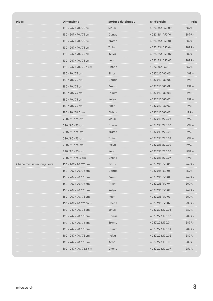| <b>Pieds</b>               | <b>Dimensions</b>        | Surface du plateau | N° d'article    | <b>Prix</b> |
|----------------------------|--------------------------|--------------------|-----------------|-------------|
|                            | 190-247/90/75 cm         | <b>Sirius</b>      | 4023.854.150.09 | $2899 -$    |
|                            | 190-247/90/75 cm         | Danae              | 4023.854.150.10 | $2899 -$    |
|                            | 190-247/90/75 cm         | <b>Bromo</b>       | 4023.854.150.01 | $2899 -$    |
|                            | 190-247/90/75 cm         | Trilium            | 4023.854.150.04 | $2899 -$    |
|                            | 190-247/90/75 cm         | Kelya              | 4023.854.150.02 | $2899 -$    |
|                            | 190-247/90/75 cm         | Keon               | 4023.854.150.03 | $2899 -$    |
|                            | 190-247/90/76.5 cm       | Chêne              | 4023.854.150.11 | $2599 -$    |
|                            | 180/90/75 cm             | Sirius             | 4037.210.180.05 | $1499 -$    |
|                            | 180/90/75 cm             | Danae              | 4037.210.180.06 | $1499 -$    |
|                            | 180/90/75 cm             | <b>Bromo</b>       | 4037.210.180.01 | $1499 -$    |
|                            | 180/90/75 cm             | Trilium            | 4037.210.180.04 | $1499 -$    |
|                            | 180/90/75 cm             | Kelya              | 4037.210.180.02 | $1499 -$    |
|                            | 180 / 90 / 75 cm         | Keon               | 4037.210.180.03 | $1499 -$    |
|                            | 180/90/76.5 cm           | Chêne              | 4037.210.180.07 | $1199 -$    |
|                            | 220 / 90 / 75 cm         | Sirius             | 4037.213.220.05 | 1799.–      |
|                            | 220/90/75 cm             | Danae              | 4037.213.220.06 | $1799 -$    |
|                            | 220/90/75 cm             | Bromo              | 4037.213.220.01 | 1799.–      |
|                            | 220/90/75 cm             | Trilium            | 4037.213.220.04 | $1799 -$    |
|                            | 220/90/75 cm             | Kelya              | 4037.213.220.02 | 1799.–      |
|                            | 220/90/75 cm             | Keon               | 4037.213.220.03 | $1799 -$    |
|                            | 220/90/76.5 cm           | Chêne              | 4037.213.220.07 | $1499 -$    |
| Chêne massif rectangulaire | 150-207/90/75 cm         | <b>Sirius</b>      | 4037.215.150.05 | $2699 -$    |
|                            | 150 - 207 / 90 / 75 cm   | Danae              | 4037.215.150.06 | $2699 -$    |
|                            | 150 – 207 / 90 / 75 cm   | <b>Bromo</b>       | 4037.215.150.01 | $2699 -$    |
|                            | 150-207/90/75 cm         | Trilium            | 4037.215.150.04 | $2699 -$    |
|                            | 150 - 207 / 90 / 75 cm   | Kelya              | 4037.215.150.02 | $2699 -$    |
|                            | 150-207/90/75 cm         | Keon               | 4037.215.150.03 | $2699 -$    |
|                            | 150 - 207 / 90 / 76.5 cm | Chêne              | 4037.215.150.07 | $2399 -$    |
|                            | 190-247/90/75 cm         | Sirius             | 4037.223.190.05 | $2899 -$    |
|                            | 190 - 247 / 90 / 75 cm   | Danae              | 4037.223.190.06 | $2899 -$    |
|                            | 190 - 247 / 90 / 75 cm   | <b>Bromo</b>       | 4037.223.190.01 | $2899 -$    |
|                            | 190 – 247 / 90 / 75 cm   | Trilium            | 4037.223.190.04 | $2899 -$    |
|                            | 190-247/90/75 cm         | Kelya              | 4037.223.190.02 | 2899.-      |
|                            | 190 – 247 / 90 / 75 cm   | Keon               | 4037.223.190.03 | $2899 -$    |
|                            | 190 – 247 / 90 / 76.5 cm | Chêne              | 4037.223.190.07 | $2599 -$    |
|                            |                          |                    |                 |             |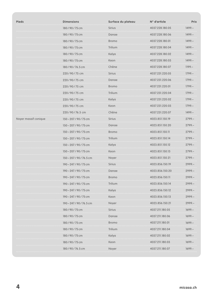| <b>Pieds</b>         | <b>Dimensions</b>        | Surface du plateau | N° d'article    | <b>Prix</b> |
|----------------------|--------------------------|--------------------|-----------------|-------------|
|                      | 180/90/75 cm             | <b>Sirius</b>      | 4037.228.180.05 | $1499 -$    |
|                      | 180/90/75 cm             | Danae              | 4037.228.180.06 | $1499 -$    |
|                      | 180/90/75 cm             | .<br><b>Bromo</b>  | 4037.228.180.01 | $1499 -$    |
|                      | 180/90/75 cm             | Trilium            | 4037.228.180.04 | $1499 -$    |
|                      | 180/90/75 cm             | Kelya              | 4037.228.180.02 | $1499 -$    |
|                      | 180/90/75 cm             | Keon               | 4037.228.180.03 | $1499 -$    |
|                      | 180/90/76.5 cm           | Chêne              | 4037.228.180.07 | 1199.–      |
|                      | 220/90/75 cm             | Sirius             | 4037.231.220.05 | $1799 -$    |
|                      | 220/90/75 cm             | Danae              | 4037.231.220.06 | 1799.-      |
|                      | 220/90/75 cm             | <b>Bromo</b>       | 4037.231.220.01 | $1799 -$    |
|                      | 220/90/75 cm             | Trilium            | 4037.231.220.04 | 1799.–      |
|                      | 220/90/75 cm             | Kelya              | 4037.231.220.02 | $1799 -$    |
|                      | 220/90/75 cm             | Keon               | 4037.231.220.03 | $1799 -$    |
|                      | 220/90/76.5 cm           | Chêne              | 4037.231.220.07 | $1499 -$    |
| Noyer massif conique | 150-207/90/75 cm         | <b>Sirius</b>      | 4023.851.150.19 | $2799 -$    |
|                      | 150-207/90/75 cm         | Danae              | 4023.851.150.20 | $2799 -$    |
|                      | 150-207/90/75 cm         | <b>Bromo</b>       | 4023.851.150.11 | $2799 -$    |
|                      | 150-207/90/75 cm         | Trilium            | 4023.851.150.14 | $2799 -$    |
|                      | 150 - 207 / 90 / 75 cm   | Kelya              | 4023.851.150.12 | $2799 -$    |
|                      | 150-207/90/75 cm         | Keon               | 4023.851.150.13 | $2799 -$    |
|                      | 150-207/90/76.5 cm       | Noyer              | 4023.851.150.21 | $2799 -$    |
|                      | 190-247/90/75 cm         | <b>Sirius</b>      | 4023.856.150.19 | $2999 -$    |
|                      | 190-247/90/75 cm         | Danae              | 4023.856.150.20 | $2999 -$    |
|                      | 190 – 247 / 90 / 75 cn   | <b>Bromo</b>       | 4023.856.150.11 | $2999 -$    |
|                      | 190 – 247 / 90 / 75 cm   | Trilium            | 4023.856.150.14 | 2999-       |
|                      | 190-247/90/75 cm         | Kelya              | 4023.856.150.12 | $2999 -$    |
|                      | 190 – 247 / 90 / 75 cm   | Keon               | 4023.856.150.13 | 2999.-      |
|                      | 190 – 247 / 90 / 76.5 cm | Noyer              | 4023.856.150.21 | $2999 -$    |
|                      | 180/90/75 cm             | Sirius             | 4037.211.180.05 | 1699.–      |
|                      | 180/90/75 cm             | Danae              | 4037.211.180.06 | $1699 -$    |
|                      | 180/90/75 cm             | <b>Bromo</b>       | 4037.211.180.01 | $1699 -$    |
|                      | 180/90/75 cm             | Trilium            | 4037.211.180.04 | $1699 -$    |
|                      | 180/90/75 cm             | Kelya              | 4037.211.180.02 | $1699 -$    |
|                      | 180/90/75 cm             | Keon               | 4037.211.180.03 | $1699 -$    |
|                      | 180/90/76.5 cm           | Noyer              | 4037.211.180.07 | $1699 -$    |
|                      |                          |                    |                 |             |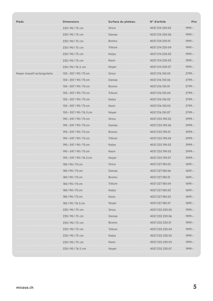| <b>Pieds</b>               | <b>Dimensions</b>        | Surface du plateau | N° d'article    | <b>Prix</b> |
|----------------------------|--------------------------|--------------------|-----------------|-------------|
|                            | 220/90/75 cm             | <b>Sirius</b>      | 4037.214.220.05 | $1999 -$    |
|                            | 220/90/75 cm             | Danae<br>.         | 4037.214.220.06 | $1999 -$    |
|                            | 220/90/75 cm             | <b>Bromo</b>       | 4037.214.220.01 | $1999 -$    |
|                            | 220/90/75 cm             | Trilium            | 4037.214.220.04 | $1999 -$    |
|                            | 220/90/75 cm             | Kelya              | 4037.214.220.02 | $1999 -$    |
|                            | 220/90/75 cm             | Keon               | 4037.214.220.03 | $1999 -$    |
|                            | 220/90/76.5 cm           | Noyer              | 4037.214.220.07 | $1999 -$    |
| Noyer massif rectangulaire | 150-207/90/75 cm         | <b>Sirius</b>      | 4037.216.150.05 | $2799 -$    |
|                            | 150 - 207 / 90 / 75 cm   | Danae              | 4037.216.150.06 | $2799 -$    |
|                            | 150-207/90/75 cm         | <b>Bromo</b>       | 4037.216.150.01 | $2799 -$    |
|                            | 150 - 207 / 90 / 75 cm   | Trilium            | 4037.216.150.04 | $2799 -$    |
|                            | 150 - 207 / 90 / 75 cm   | Kelya              | 4037.216.150.02 | $2799 -$    |
|                            | 150 – 207 / 90 / 75 cm   | Keon               | 4037.216.150.03 | $2799 -$    |
|                            | 150 - 207 / 90 / 76.5 cm | Noyer              | 4037.216.150.07 | $2799 -$    |
|                            | 190 – 247 / 90 / 75 cm   | Sirius             | 4037.235.190.05 | 2999.–      |
|                            | 190-247/90/75 cm         | Danae              | 4037.235.190.06 | $2999 -$    |
|                            | 190 – 247 / 90 / 75 cm   | Bromo              | 4037.235.190.01 | 2999.–      |
|                            | 190-247/90/75 cm         | Trilium            | 4037.235.190.04 | $2999 -$    |
|                            | 190 – 247 / 90 / 75 cm   | Kelya              | 4037.235.190.02 | 2999.–      |
|                            | 190-247/90/75 cm         | Keon               | 4037.235.190.03 | $2999 -$    |
|                            | 190-247/90/76.5 cm       | Noyer              | 4037.235.190.07 | $2999 -$    |
|                            | 180/90/75 cm             | Sirius             | 4037.227.180.05 | $1699 -$    |
|                            | 180/90/75 cm             | Danae              | 4037.227.180.06 | $1699 -$    |
|                            | 180/90/75 cm             | <b>Bromo</b>       | 4037.227.180.01 | $1699 -$    |
|                            | 180/90/75 cm             | Trilium            | 4037.227.180.04 | $1699 -$    |
|                            | 180/90/75 cm             | Kelya              | 4037.227.180.02 | $1699 -$    |
|                            | 180/90/75 cm             | Keon               | 4037.227.180.03 | $1699 -$    |
|                            | 180/90/76.5 cm           | Noyer              | 4037.227.180.07 | $1699 -$    |
|                            | 220/90/75 cm             | Sirius             | 4037.232.220.05 | $1999 -$    |
|                            | 220/90/75 cm             | Danae              | 4037.232.220.06 | $1999 -$    |
|                            | 220/90/75 cm             | <b>Bromo</b>       | 4037.232.220.01 | $1999 -$    |
|                            | 220/90/75 cm             | Trilium            | 4037.232.220.04 | $1999 -$    |
|                            | 220/90/75 cm             | Kelya              | 4037.232.220.02 | 1999 -      |
|                            | 220/90/75 cm             | Keon               | 4037.232.220.03 | $1999 -$    |
|                            | 220/90/76.5 cm           | Noyer              | 4037.232.220.07 | 1999.–      |
|                            |                          |                    |                 |             |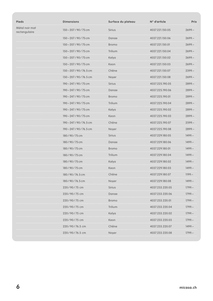| <b>Pieds</b>                    | <b>Dimensions</b>        | Surface du plateau | N° d'article    | <b>Prix</b>                                                   |
|---------------------------------|--------------------------|--------------------|-----------------|---------------------------------------------------------------|
| Métal noir mat<br>rectangulaire | 150 - 207 / 90 / 75 cm   | Sirius             | 4037.221.150.05 | $2699 -$                                                      |
|                                 | 150 - 207 / 90 / 75 cm   | Danae              | 4037.221.150.06 | $2699 -$                                                      |
|                                 | 150-207/90/75 cm         | <b>Bromo</b>       | 4037.221.150.01 | $2699 -$                                                      |
|                                 | 150 - 207 / 90 / 75 cm   | Trilium            | 4037.221.150.04 | $2699 -$                                                      |
|                                 | 150 - 207 / 90 / 75 cm   | Kelya              | 4037.221.150.02 | $2699 -$                                                      |
|                                 | 150 - 207 / 90 / 75 cm   | Keon               | 4037.221.150.03 | $2699 -$                                                      |
|                                 | 150 - 207 / 90 / 76.5 cm | Chêne              | 4037.221.150.07 | $2399 -$                                                      |
|                                 | 150 - 207 / 90 / 76.5 cm | Noyer<br>$\cdots$  | 4037.221.150.08 | $2699 -$                                                      |
|                                 | 190-247/90/75 cm         | <b>Sirius</b>      | 4037.225.190.05 | $2899 -$                                                      |
|                                 | 190-247/90/75 cm         | Danae<br>.         | 4037.225.190.06 | $2899 -$<br>$\epsilon$ , $\epsilon$ , $\epsilon$ , $\epsilon$ |
|                                 | 190 - 247 / 90 / 75 cm   | <b>Bromo</b>       | 4037.225.190.01 | $2899 -$                                                      |
|                                 | 190-247/90/75 cm         | Trilium            | 4037.225.190.04 | $2899 -$<br>$\sim$ $\sim$ $\sim$ $\sim$ $\sim$                |
|                                 | 190 - 247 / 90 / 75 cm   | Kelya              | 4037.225.190.02 | $2899 -$                                                      |
|                                 | 190-247/90/75 cm         | Keon               | 4037.225.190.03 | $2899 -$                                                      |
|                                 | 190 – 247 / 90 / 76.5 cm | Chêne              | 4037.225.190.07 | $2599 -$                                                      |
|                                 | 190-247/90/76.5 cm       | Noyer              | 4037.225.190.08 | $2899 -$                                                      |
|                                 | 180/90/75 cm             | <b>Sirius</b>      | 4037.229.180.05 | $1499 -$                                                      |
|                                 | 180/90/75 cm             | Danae              | 4037.229.180.06 | $1499 -$                                                      |
|                                 | 180/90/75 cm             | <b>Bromo</b>       | 4037.229.180.01 | $1499 -$                                                      |
|                                 | 180/90/75 cm             | Trilium            | 4037.229.180.04 | $1499 -$                                                      |
|                                 | 180/90/75 cm             | Kelya              | 4037.229.180.02 | $1499 -$                                                      |
|                                 | 180/90/75 cm             | Keon               | 4037.229.180.03 | $1499 -$                                                      |
|                                 | 180/90/76.5 cm           | Chêne              | 4037.229.180.07 | $1199 -$                                                      |
|                                 | 180/90/76.5 cm           | Noyer              | 4037.229.180.08 | $1499 -$                                                      |
|                                 | 220/90/75 cm             | <b>Sirius</b>      | 4037.233.220.05 | $1799 -$                                                      |
|                                 | 220/90/75 cm             | Danae              | 4037.233.220.06 | $1799 -$                                                      |
|                                 | 220/90/75 cm             | <b>Bromo</b>       | 4037.233.220.01 | $1799 -$                                                      |
|                                 | 220/90/75 cm             | Trilium            | 4037.233.220.04 | $1799 -$                                                      |
|                                 | 220/90/75 cm             | Kelya              | 4037.233.220.02 | $1799 -$                                                      |
|                                 | 220/90/75 cm             | Keon               | 4037.233.220.03 | $1799 -$                                                      |
|                                 | 220/90/76.5 cm           | Chêne              | 4037.233.220.07 | $1499 -$                                                      |
|                                 | 220 / 90 / 76.5 cm       | Noyer              | 4037.233.220.08 | 1799.-                                                        |
|                                 |                          |                    |                 |                                                               |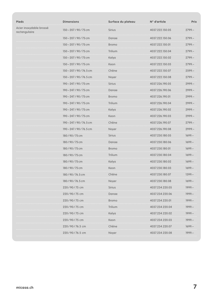| <b>Pieds</b>                             | <b>Dimensions</b>        | Surface du plateau | N° d'article    | <b>Prix</b> |
|------------------------------------------|--------------------------|--------------------|-----------------|-------------|
| Acier inoxydable brossé<br>rectangulaire | 150-207/90/75 cm         | <b>Sirius</b>      | 4037.222.150.05 | $2799 -$    |
|                                          | 150-207/90/75 cm         | Danae              | 4037.222.150.06 | $2799 -$    |
|                                          | 150-207/90/75 cm         | <b>Bromo</b>       | 4037.222.150.01 | $2799 -$    |
|                                          | 150 - 207 / 90 / 75 cm   | Trilium            | 4037.222.150.04 | $2799 -$    |
|                                          | 150-207/90/75 cm         | Kelya              | 4037.222.150.02 | $2799 -$    |
|                                          | 150 - 207 / 90 / 75 cm   | Keon               | 4037.222.150.03 | $2799 -$    |
|                                          | 150-207/90/76.5 cm       | Chêne              | 4037.222.150.07 | $2599 -$    |
|                                          | 150 - 207 / 90 / 76.5 cm | Noyer<br>.         | 4037.222.150.08 | $2799 -$    |
|                                          | 190 - 247 / 90 / 75 cm   | <b>Sirius</b>      | 4037.226.190.05 | $2999 -$    |
|                                          | 190-247/90/75 cm         | Danae              | 4037.226.190.06 | $2999 -$    |
|                                          | 190-247/90/75 cm         | <b>Bromo</b>       | 4037.226.190.01 | $2999 -$    |
|                                          | 190-247/90/75 cm         | Trilium            | 4037.226.190.04 | $2999 -$    |
|                                          | 190-247/90/75 cm         | Kelya              | 4037.226.190.02 | $2999 -$    |
|                                          | 190-247/90/75 cm         | Keon               | 4037.226.190.03 | $2999 -$    |
|                                          | 190-247/90/76.5 cm       | Chêne              | 4037.226.190.07 | $2799 -$    |
|                                          | 190-247/90/76.5 cm       | Noyer              | 4037.226.190.08 | $2999 -$    |
|                                          | 180/90/75 cm             | <b>Sirius</b>      | 4037.230.180.05 | $1699 -$    |
|                                          | 180/90/75 cm             | Danae              | 4037.230.180.06 | $1699 -$    |
|                                          | 180/90/75 cm             | Bromo              | 4037.230.180.01 | $1699 -$    |
|                                          | 180/90/75 cm             | Trilium            | 4037.230.180.04 | $1699 -$    |
|                                          | 180/90/75 cm             | Kelya              | 4037.230.180.02 | $1699 -$    |
|                                          | 180/90/75 cm             | Keon               | 4037.230.180.03 | $1699 -$    |
|                                          | 180/90/76.5 cm           | Chêne              | 4037.230.180.07 | $1399 -$    |
|                                          | 180/90/76.5 cm           | Noyer              | 4037.230.180.08 | 1699.–      |
|                                          | 220/90/75 cm             | <b>Sirius</b>      | 4037.234.220.05 | $1999 -$    |
|                                          | 220/90/75 cm             | Danae              | 4037.234.220.06 | 1999.–      |
|                                          | 220/90/75 cm             | <b>Bromo</b>       | 4037.234.220.01 | $1999 -$    |
|                                          | 220/90/75 cm             | Trilium            | 4037.234.220.04 | 1999.–      |
|                                          | 220/90/75 cm             | Kelya              | 4037.234.220.02 | $1999 -$    |
|                                          | 220/90/75 cm             | Keon               | 4037.234.220.03 | 1999.-      |
|                                          | 220/90/76.5 cm           | Chêne              | 4037.234.220.07 | 1699.–      |
|                                          | 220/90/76.5 cm           | Noyer              | 4037.234.220.08 | 1999.–      |
|                                          |                          |                    |                 |             |